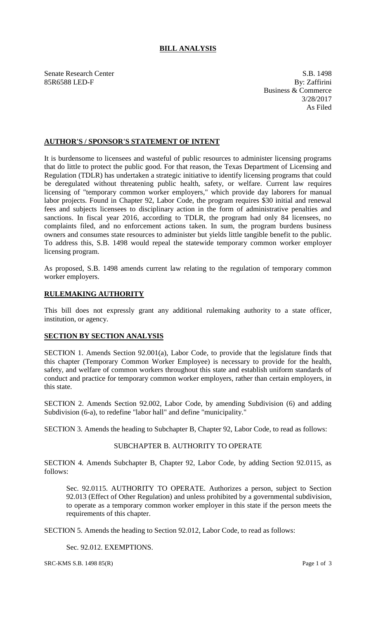# **BILL ANALYSIS**

Senate Research Center S.B. 1498<br>
85R6588 LED-F By: Zaffirini 85R6588 LED-F

Business & Commerce 3/28/2017 As Filed

### **AUTHOR'S / SPONSOR'S STATEMENT OF INTENT**

It is burdensome to licensees and wasteful of public resources to administer licensing programs that do little to protect the public good. For that reason, the Texas Department of Licensing and Regulation (TDLR) has undertaken a strategic initiative to identify licensing programs that could be deregulated without threatening public health, safety, or welfare. Current law requires licensing of "temporary common worker employers," which provide day laborers for manual labor projects. Found in Chapter 92, Labor Code, the program requires \$30 initial and renewal fees and subjects licensees to disciplinary action in the form of administrative penalties and sanctions. In fiscal year 2016, according to TDLR, the program had only 84 licensees, no complaints filed, and no enforcement actions taken. In sum, the program burdens business owners and consumes state resources to administer but yields little tangible benefit to the public. To address this, S.B. 1498 would repeal the statewide temporary common worker employer licensing program.

As proposed, S.B. 1498 amends current law relating to the regulation of temporary common worker employers.

## **RULEMAKING AUTHORITY**

This bill does not expressly grant any additional rulemaking authority to a state officer, institution, or agency.

### **SECTION BY SECTION ANALYSIS**

SECTION 1. Amends Section 92.001(a), Labor Code, to provide that the legislature finds that this chapter (Temporary Common Worker Employee) is necessary to provide for the health, safety, and welfare of common workers throughout this state and establish uniform standards of conduct and practice for temporary common worker employers, rather than certain employers, in this state.

SECTION 2. Amends Section 92.002, Labor Code, by amending Subdivision (6) and adding Subdivision (6-a), to redefine "labor hall" and define "municipality."

SECTION 3. Amends the heading to Subchapter B, Chapter 92, Labor Code, to read as follows:

## SUBCHAPTER B. AUTHORITY TO OPERATE

SECTION 4. Amends Subchapter B, Chapter 92, Labor Code, by adding Section 92.0115, as follows:

Sec. 92.0115. AUTHORITY TO OPERATE. Authorizes a person, subject to Section 92.013 (Effect of Other Regulation) and unless prohibited by a governmental subdivision, to operate as a temporary common worker employer in this state if the person meets the requirements of this chapter.

SECTION 5. Amends the heading to Section 92.012, Labor Code, to read as follows:

Sec. 92.012. EXEMPTIONS.

 $SRC-KMS S.B. 1498 85(R)$  Page 1 of 3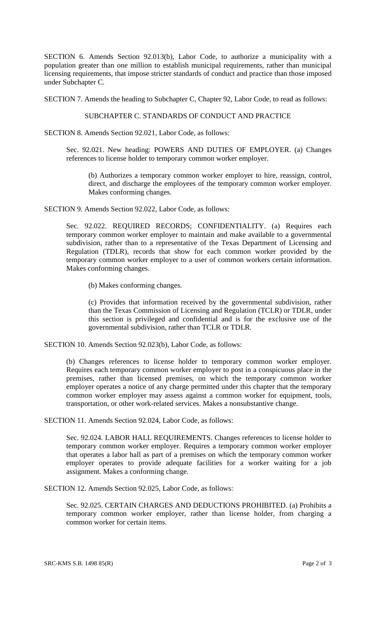SECTION 6. Amends Section 92.013(b), Labor Code, to authorize a municipality with a population greater than one million to establish municipal requirements, rather than municipal licensing requirements, that impose stricter standards of conduct and practice than those imposed under Subchapter C.

SECTION 7. Amends the heading to Subchapter C, Chapter 92, Labor Code, to read as follows:

# SUBCHAPTER C. STANDARDS OF CONDUCT AND PRACTICE

SECTION 8. Amends Section 92.021, Labor Code, as follows:

Sec. 92.021. New heading: POWERS AND DUTIES OF EMPLOYER. (a) Changes references to license holder to temporary common worker employer.

(b) Authorizes a temporary common worker employer to hire, reassign, control, direct, and discharge the employees of the temporary common worker employer. Makes conforming changes.

SECTION 9. Amends Section 92.022, Labor Code, as follows:

Sec. 92.022. REQUIRED RECORDS; CONFIDENTIALITY. (a) Requires each temporary common worker employer to maintain and make available to a governmental subdivision, rather than to a representative of the Texas Department of Licensing and Regulation (TDLR), records that show for each common worker provided by the temporary common worker employer to a user of common workers certain information. Makes conforming changes.

(b) Makes conforming changes.

(c) Provides that information received by the governmental subdivision, rather than the Texas Commission of Licensing and Regulation (TCLR) or TDLR, under this section is privileged and confidential and is for the exclusive use of the governmental subdivision, rather than TCLR or TDLR.

SECTION 10. Amends Section 92.023(b), Labor Code, as follows:

(b) Changes references to license holder to temporary common worker employer. Requires each temporary common worker employer to post in a conspicuous place in the premises, rather than licensed premises, on which the temporary common worker employer operates a notice of any charge permitted under this chapter that the temporary common worker employer may assess against a common worker for equipment, tools, transportation, or other work-related services. Makes a nonsubstantive change.

SECTION 11. Amends Section 92.024, Labor Code, as follows:

Sec. 92.024. LABOR HALL REQUIREMENTS. Changes references to license holder to temporary common worker employer. Requires a temporary common worker employer that operates a labor hall as part of a premises on which the temporary common worker employer operates to provide adequate facilities for a worker waiting for a job assignment. Makes a conforming change.

SECTION 12. Amends Section 92.025, Labor Code, as follows:

Sec. 92.025. CERTAIN CHARGES AND DEDUCTIONS PROHIBITED. (a) Prohibits a temporary common worker employer, rather than license holder, from charging a common worker for certain items.